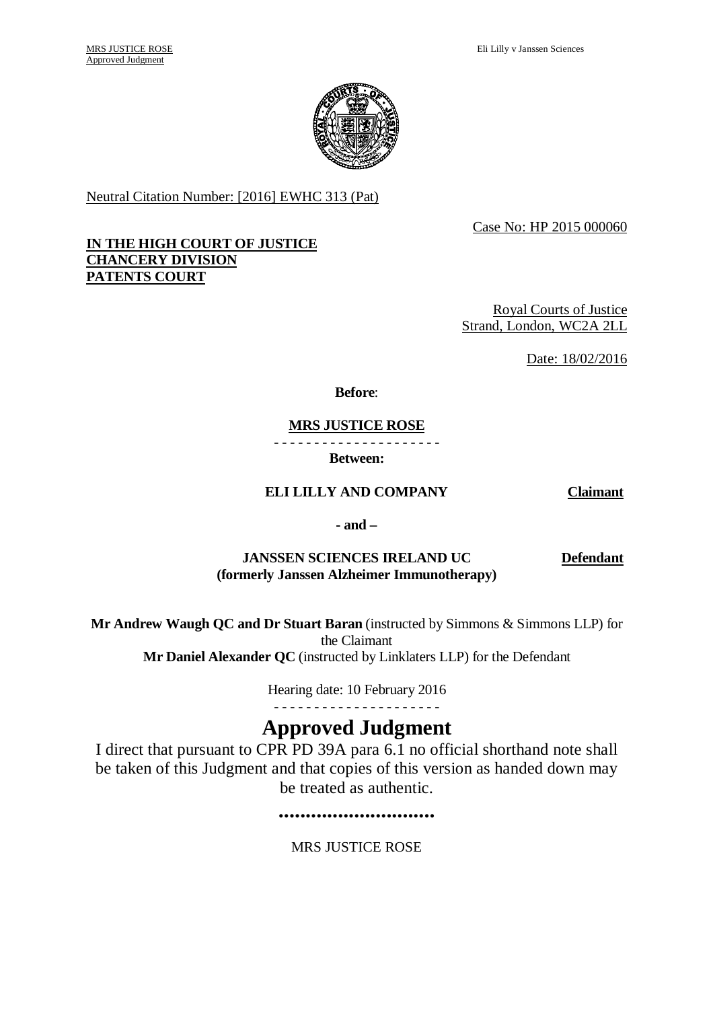

Neutral Citation Number: [2016] EWHC 313 (Pat)

Case No: HP 2015 000060

## **IN THE HIGH COURT OF JUSTICE CHANCERY DIVISION PATENTS COURT**

Royal Courts of Justice Strand, London, WC2A 2LL

Date: 18/02/2016

**Before**:

## **MRS JUSTICE ROSE**

- - - - - - - - - - - - - - - - - - - - -

**Between:**

## **ELI LILLY AND COMPANY Claimant**

**- and –**

## **JANSSEN SCIENCES IRELAND UC (formerly Janssen Alzheimer Immunotherapy)**

**Defendant**

**Mr Andrew Waugh QC and Dr Stuart Baran** (instructed by Simmons & Simmons LLP) for the Claimant **Mr Daniel Alexander QC** (instructed by Linklaters LLP) for the Defendant

Hearing date: 10 February 2016

## - - - - - - - - - - - - - - - - - - - - -

# **Approved Judgment**

I direct that pursuant to CPR PD 39A para 6.1 no official shorthand note shall be taken of this Judgment and that copies of this version as handed down may be treated as authentic.

**.............................**

MRS JUSTICE ROSE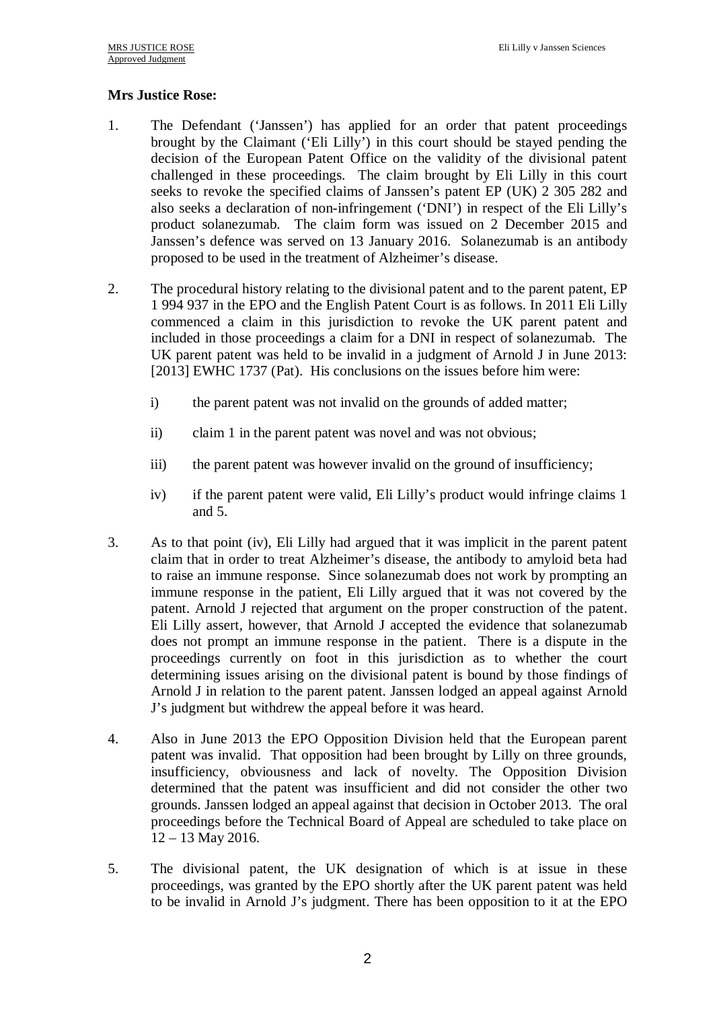## **Mrs Justice Rose:**

- 1. The Defendant ('Janssen') has applied for an order that patent proceedings brought by the Claimant ('Eli Lilly') in this court should be stayed pending the decision of the European Patent Office on the validity of the divisional patent challenged in these proceedings. The claim brought by Eli Lilly in this court seeks to revoke the specified claims of Janssen's patent EP (UK) 2 305 282 and also seeks a declaration of non-infringement ('DNI') in respect of the Eli Lilly's product solanezumab. The claim form was issued on 2 December 2015 and Janssen's defence was served on 13 January 2016. Solanezumab is an antibody proposed to be used in the treatment of Alzheimer's disease.
- 2. The procedural history relating to the divisional patent and to the parent patent, EP 1 994 937 in the EPO and the English Patent Court is as follows. In 2011 Eli Lilly commenced a claim in this jurisdiction to revoke the UK parent patent and included in those proceedings a claim for a DNI in respect of solanezumab. The UK parent patent was held to be invalid in a judgment of Arnold J in June 2013: [2013] EWHC 1737 (Pat). His conclusions on the issues before him were:
	- i) the parent patent was not invalid on the grounds of added matter;
	- ii) claim 1 in the parent patent was novel and was not obvious;
	- iii) the parent patent was however invalid on the ground of insufficiency;
	- iv) if the parent patent were valid, Eli Lilly's product would infringe claims 1 and 5.
- 3. As to that point (iv), Eli Lilly had argued that it was implicit in the parent patent claim that in order to treat Alzheimer's disease, the antibody to amyloid beta had to raise an immune response. Since solanezumab does not work by prompting an immune response in the patient, Eli Lilly argued that it was not covered by the patent. Arnold J rejected that argument on the proper construction of the patent. Eli Lilly assert, however, that Arnold J accepted the evidence that solanezumab does not prompt an immune response in the patient. There is a dispute in the proceedings currently on foot in this jurisdiction as to whether the court determining issues arising on the divisional patent is bound by those findings of Arnold J in relation to the parent patent. Janssen lodged an appeal against Arnold J's judgment but withdrew the appeal before it was heard.
- 4. Also in June 2013 the EPO Opposition Division held that the European parent patent was invalid. That opposition had been brought by Lilly on three grounds, insufficiency, obviousness and lack of novelty. The Opposition Division determined that the patent was insufficient and did not consider the other two grounds. Janssen lodged an appeal against that decision in October 2013. The oral proceedings before the Technical Board of Appeal are scheduled to take place on 12 – 13 May 2016.
- 5. The divisional patent, the UK designation of which is at issue in these proceedings, was granted by the EPO shortly after the UK parent patent was held to be invalid in Arnold J's judgment. There has been opposition to it at the EPO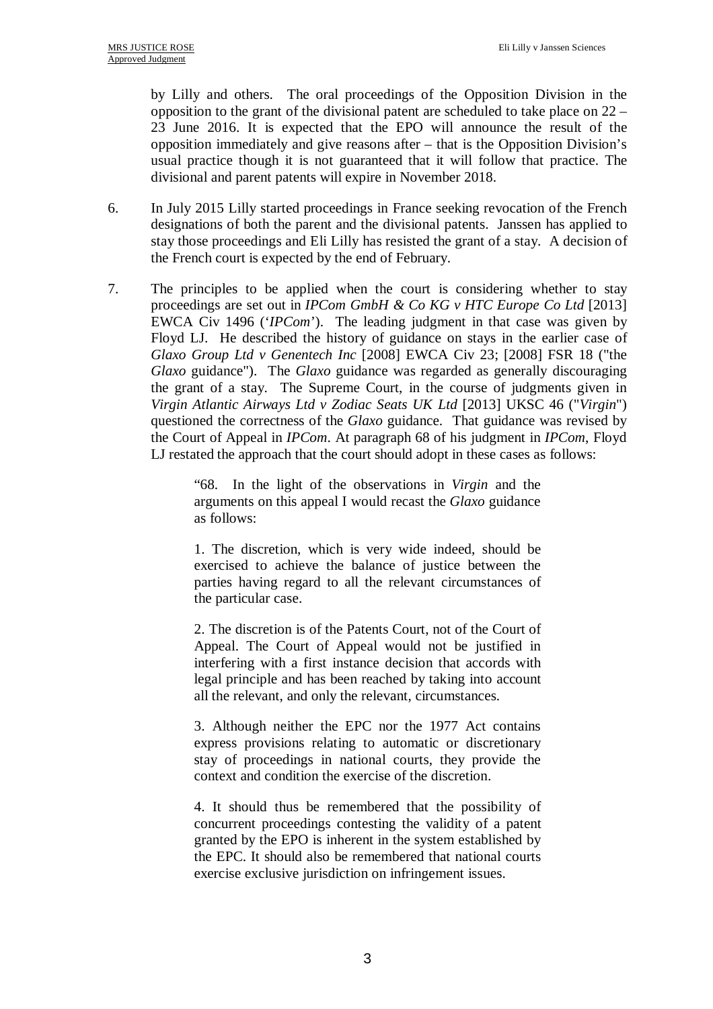by Lilly and others. The oral proceedings of the Opposition Division in the opposition to the grant of the divisional patent are scheduled to take place on 22 – 23 June 2016. It is expected that the EPO will announce the result of the opposition immediately and give reasons after – that is the Opposition Division's usual practice though it is not guaranteed that it will follow that practice. The divisional and parent patents will expire in November 2018.

- 6. In July 2015 Lilly started proceedings in France seeking revocation of the French designations of both the parent and the divisional patents. Janssen has applied to stay those proceedings and Eli Lilly has resisted the grant of a stay. A decision of the French court is expected by the end of February.
- 7. The principles to be applied when the court is considering whether to stay proceedings are set out in *IPCom GmbH & Co KG v HTC Europe Co Ltd* [2013] EWCA Civ 1496 ('*IPCom*'). The leading judgment in that case was given by Floyd LJ. He described the history of guidance on stays in the earlier case of *Glaxo Group Ltd v Genentech Inc* [2008] EWCA Civ 23; [2008] FSR 18 ("the *Glaxo* guidance"). The *Glaxo* guidance was regarded as generally discouraging the grant of a stay. The Supreme Court, in the course of judgments given in *Virgin Atlantic Airways Ltd v Zodiac Seats UK Ltd* [2013] UKSC 46 ("*Virgin*") questioned the correctness of the *Glaxo* guidance. That guidance was revised by the Court of Appeal in *IPCom*. At paragraph 68 of his judgment in *IPCom*, Floyd LJ restated the approach that the court should adopt in these cases as follows:

"68. In the light of the observations in *Virgin* and the arguments on this appeal I would recast the *Glaxo* guidance as follows:

1. The discretion, which is very wide indeed, should be exercised to achieve the balance of justice between the parties having regard to all the relevant circumstances of the particular case.

2. The discretion is of the Patents Court, not of the Court of Appeal. The Court of Appeal would not be justified in interfering with a first instance decision that accords with legal principle and has been reached by taking into account all the relevant, and only the relevant, circumstances.

3. Although neither the EPC nor the 1977 Act contains express provisions relating to automatic or discretionary stay of proceedings in national courts, they provide the context and condition the exercise of the discretion.

4. It should thus be remembered that the possibility of concurrent proceedings contesting the validity of a patent granted by the EPO is inherent in the system established by the EPC. It should also be remembered that national courts exercise exclusive jurisdiction on infringement issues.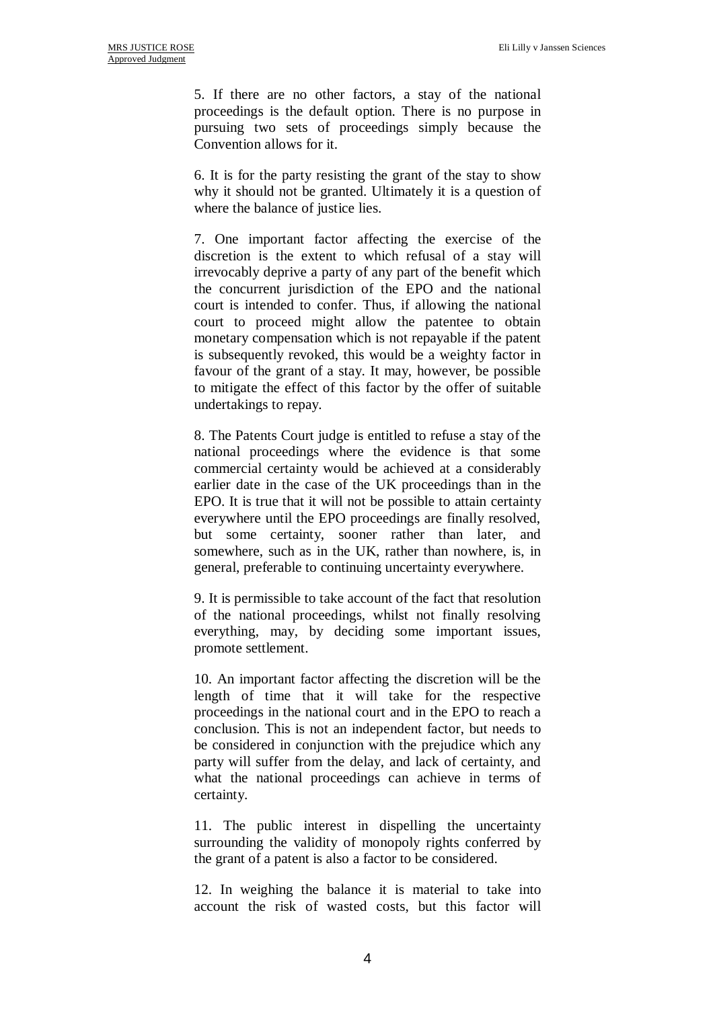5. If there are no other factors, a stay of the national proceedings is the default option. There is no purpose in pursuing two sets of proceedings simply because the Convention allows for it.

6. It is for the party resisting the grant of the stay to show why it should not be granted. Ultimately it is a question of where the balance of justice lies.

7. One important factor affecting the exercise of the discretion is the extent to which refusal of a stay will irrevocably deprive a party of any part of the benefit which the concurrent jurisdiction of the EPO and the national court is intended to confer. Thus, if allowing the national court to proceed might allow the patentee to obtain monetary compensation which is not repayable if the patent is subsequently revoked, this would be a weighty factor in favour of the grant of a stay. It may, however, be possible to mitigate the effect of this factor by the offer of suitable undertakings to repay.

8. The Patents Court judge is entitled to refuse a stay of the national proceedings where the evidence is that some commercial certainty would be achieved at a considerably earlier date in the case of the UK proceedings than in the EPO. It is true that it will not be possible to attain certainty everywhere until the EPO proceedings are finally resolved, but some certainty, sooner rather than later, and somewhere, such as in the UK, rather than nowhere, is, in general, preferable to continuing uncertainty everywhere.

9. It is permissible to take account of the fact that resolution of the national proceedings, whilst not finally resolving everything, may, by deciding some important issues, promote settlement.

10. An important factor affecting the discretion will be the length of time that it will take for the respective proceedings in the national court and in the EPO to reach a conclusion. This is not an independent factor, but needs to be considered in conjunction with the prejudice which any party will suffer from the delay, and lack of certainty, and what the national proceedings can achieve in terms of certainty.

11. The public interest in dispelling the uncertainty surrounding the validity of monopoly rights conferred by the grant of a patent is also a factor to be considered.

12. In weighing the balance it is material to take into account the risk of wasted costs, but this factor will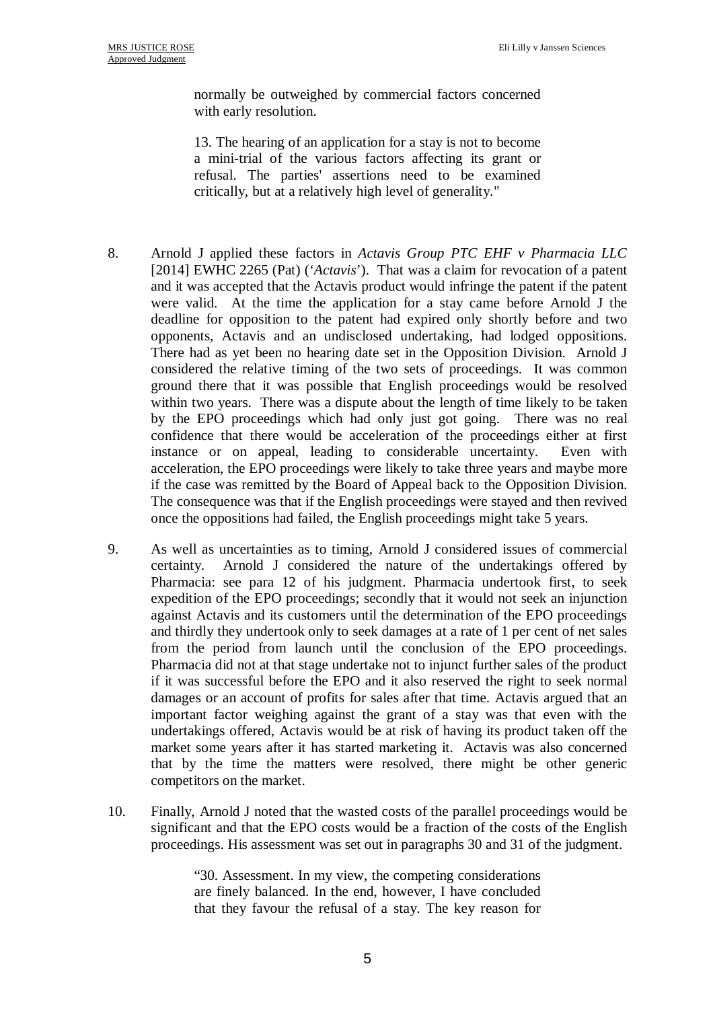normally be outweighed by commercial factors concerned with early resolution.

13. The hearing of an application for a stay is not to become a mini-trial of the various factors affecting its grant or refusal. The parties' assertions need to be examined critically, but at a relatively high level of generality."

- 8. Arnold J applied these factors in *Actavis Group PTC EHF v Pharmacia LLC* [2014] EWHC 2265 (Pat) ('*Actavis*'). That was a claim for revocation of a patent and it was accepted that the Actavis product would infringe the patent if the patent were valid. At the time the application for a stay came before Arnold J the deadline for opposition to the patent had expired only shortly before and two opponents, Actavis and an undisclosed undertaking, had lodged oppositions. There had as yet been no hearing date set in the Opposition Division. Arnold J considered the relative timing of the two sets of proceedings. It was common ground there that it was possible that English proceedings would be resolved within two years. There was a dispute about the length of time likely to be taken by the EPO proceedings which had only just got going. There was no real confidence that there would be acceleration of the proceedings either at first instance or on appeal, leading to considerable uncertainty. Even with acceleration, the EPO proceedings were likely to take three years and maybe more if the case was remitted by the Board of Appeal back to the Opposition Division. The consequence was that if the English proceedings were stayed and then revived once the oppositions had failed, the English proceedings might take 5 years.
- 9. As well as uncertainties as to timing, Arnold J considered issues of commercial certainty. Arnold J considered the nature of the undertakings offered by Pharmacia: see para 12 of his judgment. Pharmacia undertook first, to seek expedition of the EPO proceedings; secondly that it would not seek an injunction against Actavis and its customers until the determination of the EPO proceedings and thirdly they undertook only to seek damages at a rate of 1 per cent of net sales from the period from launch until the conclusion of the EPO proceedings. Pharmacia did not at that stage undertake not to injunct further sales of the product if it was successful before the EPO and it also reserved the right to seek normal damages or an account of profits for sales after that time. Actavis argued that an important factor weighing against the grant of a stay was that even with the undertakings offered, Actavis would be at risk of having its product taken off the market some years after it has started marketing it. Actavis was also concerned that by the time the matters were resolved, there might be other generic competitors on the market.
- 10. Finally, Arnold J noted that the wasted costs of the parallel proceedings would be significant and that the EPO costs would be a fraction of the costs of the English proceedings. His assessment was set out in paragraphs 30 and 31 of the judgment.

"30. Assessment. In my view, the competing considerations are finely balanced. In the end, however, I have concluded that they favour the refusal of a stay. The key reason for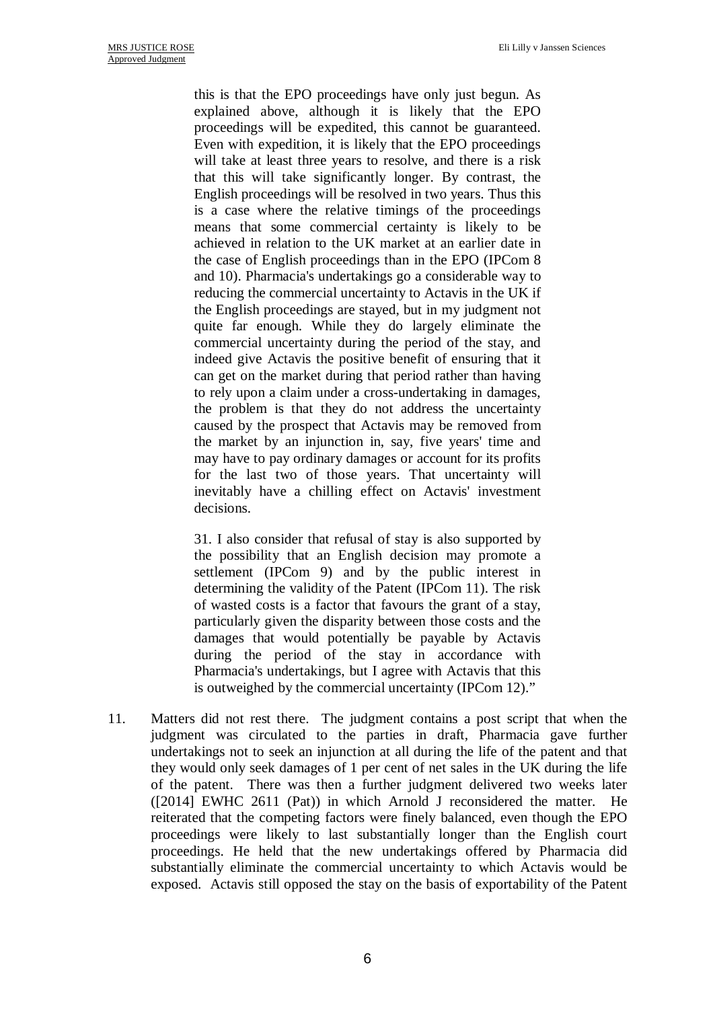this is that the EPO proceedings have only just begun. As explained above, although it is likely that the EPO proceedings will be expedited, this cannot be guaranteed. Even with expedition, it is likely that the EPO proceedings will take at least three years to resolve, and there is a risk that this will take significantly longer. By contrast, the English proceedings will be resolved in two years. Thus this is a case where the relative timings of the proceedings means that some commercial certainty is likely to be achieved in relation to the UK market at an earlier date in the case of English proceedings than in the EPO (IPCom 8 and 10). Pharmacia's undertakings go a considerable way to reducing the commercial uncertainty to Actavis in the UK if the English proceedings are stayed, but in my judgment not quite far enough. While they do largely eliminate the commercial uncertainty during the period of the stay, and indeed give Actavis the positive benefit of ensuring that it can get on the market during that period rather than having to rely upon a claim under a cross-undertaking in damages, the problem is that they do not address the uncertainty caused by the prospect that Actavis may be removed from the market by an injunction in, say, five years' time and may have to pay ordinary damages or account for its profits for the last two of those years. That uncertainty will inevitably have a chilling effect on Actavis' investment decisions.

31. I also consider that refusal of stay is also supported by the possibility that an English decision may promote a settlement (IPCom 9) and by the public interest in determining the validity of the Patent (IPCom 11). The risk of wasted costs is a factor that favours the grant of a stay, particularly given the disparity between those costs and the damages that would potentially be payable by Actavis during the period of the stay in accordance with Pharmacia's undertakings, but I agree with Actavis that this is outweighed by the commercial uncertainty (IPCom 12)."

11. Matters did not rest there. The judgment contains a post script that when the judgment was circulated to the parties in draft, Pharmacia gave further undertakings not to seek an injunction at all during the life of the patent and that they would only seek damages of 1 per cent of net sales in the UK during the life of the patent. There was then a further judgment delivered two weeks later ([2014] EWHC 2611 (Pat)) in which Arnold J reconsidered the matter. He reiterated that the competing factors were finely balanced, even though the EPO proceedings were likely to last substantially longer than the English court proceedings. He held that the new undertakings offered by Pharmacia did substantially eliminate the commercial uncertainty to which Actavis would be exposed. Actavis still opposed the stay on the basis of exportability of the Patent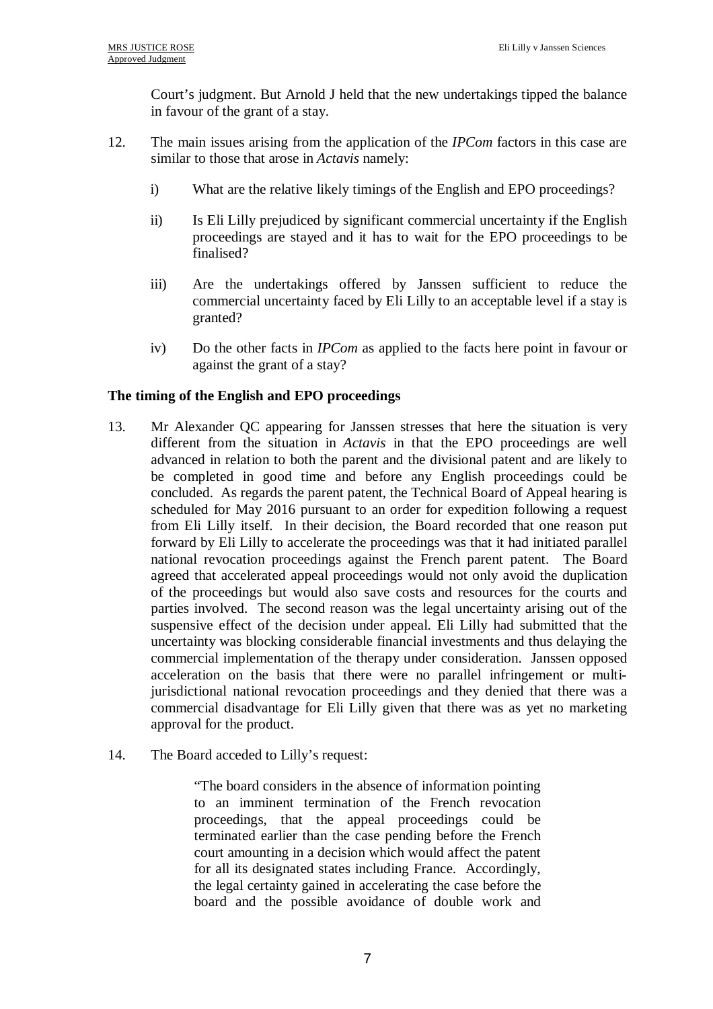Court's judgment. But Arnold J held that the new undertakings tipped the balance in favour of the grant of a stay.

- 12. The main issues arising from the application of the *IPCom* factors in this case are similar to those that arose in *Actavis* namely:
	- i) What are the relative likely timings of the English and EPO proceedings?
	- ii) Is Eli Lilly prejudiced by significant commercial uncertainty if the English proceedings are stayed and it has to wait for the EPO proceedings to be finalised?
	- iii) Are the undertakings offered by Janssen sufficient to reduce the commercial uncertainty faced by Eli Lilly to an acceptable level if a stay is granted?
	- iv) Do the other facts in *IPCom* as applied to the facts here point in favour or against the grant of a stay?

## **The timing of the English and EPO proceedings**

- 13. Mr Alexander QC appearing for Janssen stresses that here the situation is very different from the situation in *Actavis* in that the EPO proceedings are well advanced in relation to both the parent and the divisional patent and are likely to be completed in good time and before any English proceedings could be concluded. As regards the parent patent, the Technical Board of Appeal hearing is scheduled for May 2016 pursuant to an order for expedition following a request from Eli Lilly itself. In their decision, the Board recorded that one reason put forward by Eli Lilly to accelerate the proceedings was that it had initiated parallel national revocation proceedings against the French parent patent. The Board agreed that accelerated appeal proceedings would not only avoid the duplication of the proceedings but would also save costs and resources for the courts and parties involved. The second reason was the legal uncertainty arising out of the suspensive effect of the decision under appeal. Eli Lilly had submitted that the uncertainty was blocking considerable financial investments and thus delaying the commercial implementation of the therapy under consideration. Janssen opposed acceleration on the basis that there were no parallel infringement or multijurisdictional national revocation proceedings and they denied that there was a commercial disadvantage for Eli Lilly given that there was as yet no marketing approval for the product.
- 14. The Board acceded to Lilly's request:

"The board considers in the absence of information pointing to an imminent termination of the French revocation proceedings, that the appeal proceedings could be terminated earlier than the case pending before the French court amounting in a decision which would affect the patent for all its designated states including France. Accordingly, the legal certainty gained in accelerating the case before the board and the possible avoidance of double work and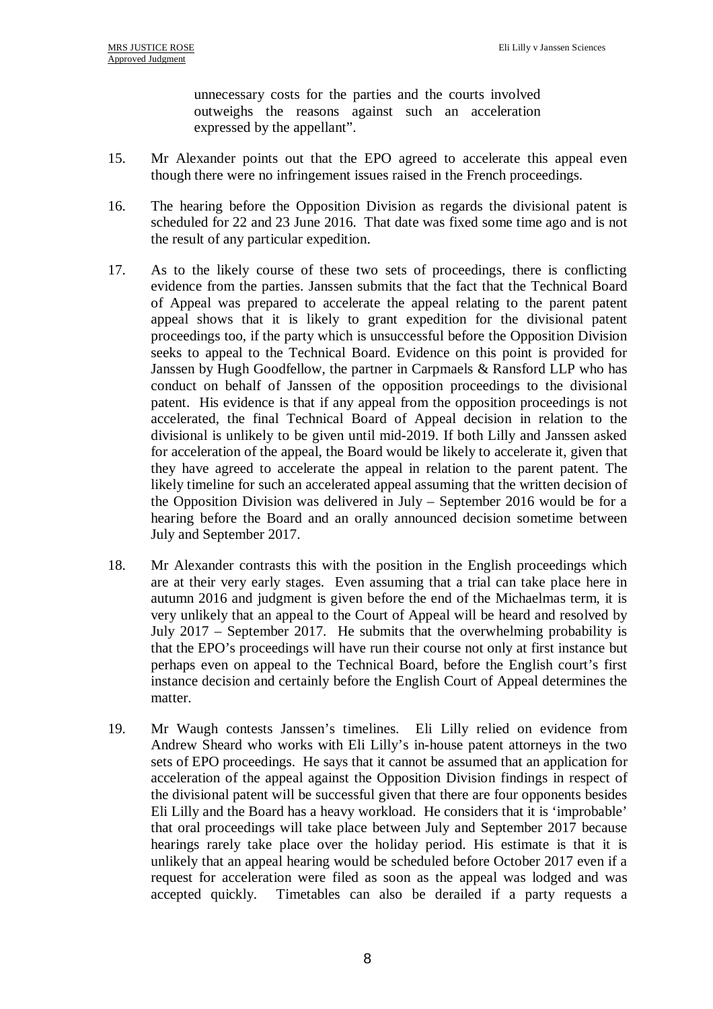unnecessary costs for the parties and the courts involved outweighs the reasons against such an acceleration expressed by the appellant".

- 15. Mr Alexander points out that the EPO agreed to accelerate this appeal even though there were no infringement issues raised in the French proceedings.
- 16. The hearing before the Opposition Division as regards the divisional patent is scheduled for 22 and 23 June 2016. That date was fixed some time ago and is not the result of any particular expedition.
- 17. As to the likely course of these two sets of proceedings, there is conflicting evidence from the parties. Janssen submits that the fact that the Technical Board of Appeal was prepared to accelerate the appeal relating to the parent patent appeal shows that it is likely to grant expedition for the divisional patent proceedings too, if the party which is unsuccessful before the Opposition Division seeks to appeal to the Technical Board. Evidence on this point is provided for Janssen by Hugh Goodfellow, the partner in Carpmaels & Ransford LLP who has conduct on behalf of Janssen of the opposition proceedings to the divisional patent. His evidence is that if any appeal from the opposition proceedings is not accelerated, the final Technical Board of Appeal decision in relation to the divisional is unlikely to be given until mid-2019. If both Lilly and Janssen asked for acceleration of the appeal, the Board would be likely to accelerate it, given that they have agreed to accelerate the appeal in relation to the parent patent. The likely timeline for such an accelerated appeal assuming that the written decision of the Opposition Division was delivered in July – September 2016 would be for a hearing before the Board and an orally announced decision sometime between July and September 2017.
- 18. Mr Alexander contrasts this with the position in the English proceedings which are at their very early stages. Even assuming that a trial can take place here in autumn 2016 and judgment is given before the end of the Michaelmas term, it is very unlikely that an appeal to the Court of Appeal will be heard and resolved by July 2017 – September 2017. He submits that the overwhelming probability is that the EPO's proceedings will have run their course not only at first instance but perhaps even on appeal to the Technical Board, before the English court's first instance decision and certainly before the English Court of Appeal determines the matter.
- 19. Mr Waugh contests Janssen's timelines. Eli Lilly relied on evidence from Andrew Sheard who works with Eli Lilly's in-house patent attorneys in the two sets of EPO proceedings. He says that it cannot be assumed that an application for acceleration of the appeal against the Opposition Division findings in respect of the divisional patent will be successful given that there are four opponents besides Eli Lilly and the Board has a heavy workload. He considers that it is 'improbable' that oral proceedings will take place between July and September 2017 because hearings rarely take place over the holiday period. His estimate is that it is unlikely that an appeal hearing would be scheduled before October 2017 even if a request for acceleration were filed as soon as the appeal was lodged and was accepted quickly. Timetables can also be derailed if a party requests a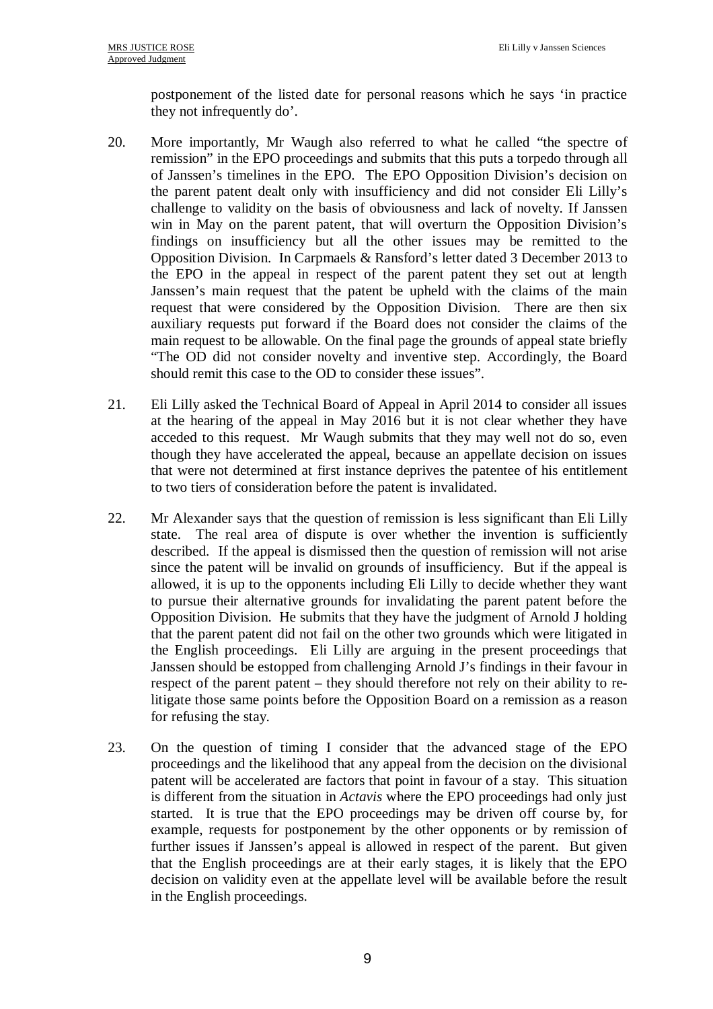postponement of the listed date for personal reasons which he says 'in practice they not infrequently do'.

- 20. More importantly, Mr Waugh also referred to what he called "the spectre of remission" in the EPO proceedings and submits that this puts a torpedo through all of Janssen's timelines in the EPO. The EPO Opposition Division's decision on the parent patent dealt only with insufficiency and did not consider Eli Lilly's challenge to validity on the basis of obviousness and lack of novelty. If Janssen win in May on the parent patent, that will overturn the Opposition Division's findings on insufficiency but all the other issues may be remitted to the Opposition Division. In Carpmaels & Ransford's letter dated 3 December 2013 to the EPO in the appeal in respect of the parent patent they set out at length Janssen's main request that the patent be upheld with the claims of the main request that were considered by the Opposition Division. There are then six auxiliary requests put forward if the Board does not consider the claims of the main request to be allowable. On the final page the grounds of appeal state briefly "The OD did not consider novelty and inventive step. Accordingly, the Board should remit this case to the OD to consider these issues".
- 21. Eli Lilly asked the Technical Board of Appeal in April 2014 to consider all issues at the hearing of the appeal in May 2016 but it is not clear whether they have acceded to this request. Mr Waugh submits that they may well not do so, even though they have accelerated the appeal, because an appellate decision on issues that were not determined at first instance deprives the patentee of his entitlement to two tiers of consideration before the patent is invalidated.
- 22. Mr Alexander says that the question of remission is less significant than Eli Lilly state. The real area of dispute is over whether the invention is sufficiently described. If the appeal is dismissed then the question of remission will not arise since the patent will be invalid on grounds of insufficiency. But if the appeal is allowed, it is up to the opponents including Eli Lilly to decide whether they want to pursue their alternative grounds for invalidating the parent patent before the Opposition Division. He submits that they have the judgment of Arnold J holding that the parent patent did not fail on the other two grounds which were litigated in the English proceedings. Eli Lilly are arguing in the present proceedings that Janssen should be estopped from challenging Arnold J's findings in their favour in respect of the parent patent – they should therefore not rely on their ability to relitigate those same points before the Opposition Board on a remission as a reason for refusing the stay.
- 23. On the question of timing I consider that the advanced stage of the EPO proceedings and the likelihood that any appeal from the decision on the divisional patent will be accelerated are factors that point in favour of a stay. This situation is different from the situation in *Actavis* where the EPO proceedings had only just started. It is true that the EPO proceedings may be driven off course by, for example, requests for postponement by the other opponents or by remission of further issues if Janssen's appeal is allowed in respect of the parent. But given that the English proceedings are at their early stages, it is likely that the EPO decision on validity even at the appellate level will be available before the result in the English proceedings.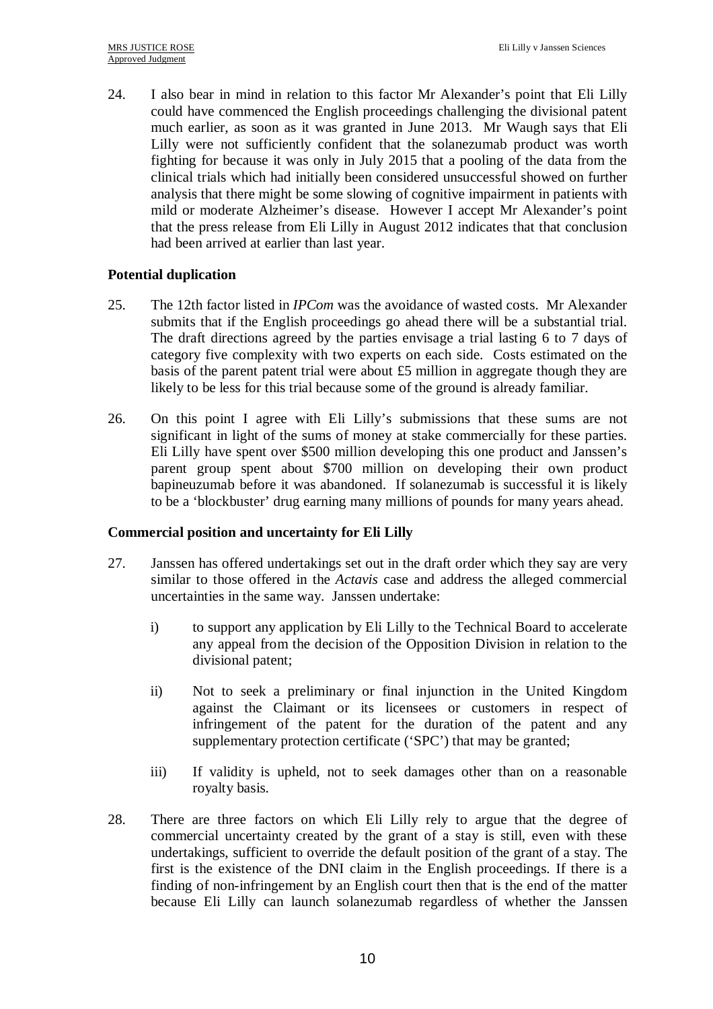24. I also bear in mind in relation to this factor Mr Alexander's point that Eli Lilly could have commenced the English proceedings challenging the divisional patent much earlier, as soon as it was granted in June 2013. Mr Waugh says that Eli Lilly were not sufficiently confident that the solanezumab product was worth fighting for because it was only in July 2015 that a pooling of the data from the clinical trials which had initially been considered unsuccessful showed on further analysis that there might be some slowing of cognitive impairment in patients with mild or moderate Alzheimer's disease. However I accept Mr Alexander's point that the press release from Eli Lilly in August 2012 indicates that that conclusion had been arrived at earlier than last year.

#### **Potential duplication**

- 25. The 12th factor listed in *IPCom* was the avoidance of wasted costs. Mr Alexander submits that if the English proceedings go ahead there will be a substantial trial. The draft directions agreed by the parties envisage a trial lasting 6 to 7 days of category five complexity with two experts on each side. Costs estimated on the basis of the parent patent trial were about £5 million in aggregate though they are likely to be less for this trial because some of the ground is already familiar.
- 26. On this point I agree with Eli Lilly's submissions that these sums are not significant in light of the sums of money at stake commercially for these parties. Eli Lilly have spent over \$500 million developing this one product and Janssen's parent group spent about \$700 million on developing their own product bapineuzumab before it was abandoned. If solanezumab is successful it is likely to be a 'blockbuster' drug earning many millions of pounds for many years ahead.

#### **Commercial position and uncertainty for Eli Lilly**

- 27. Janssen has offered undertakings set out in the draft order which they say are very similar to those offered in the *Actavis* case and address the alleged commercial uncertainties in the same way. Janssen undertake:
	- i) to support any application by Eli Lilly to the Technical Board to accelerate any appeal from the decision of the Opposition Division in relation to the divisional patent;
	- ii) Not to seek a preliminary or final injunction in the United Kingdom against the Claimant or its licensees or customers in respect of infringement of the patent for the duration of the patent and any supplementary protection certificate ('SPC') that may be granted;
	- iii) If validity is upheld, not to seek damages other than on a reasonable royalty basis.
- 28. There are three factors on which Eli Lilly rely to argue that the degree of commercial uncertainty created by the grant of a stay is still, even with these undertakings, sufficient to override the default position of the grant of a stay. The first is the existence of the DNI claim in the English proceedings. If there is a finding of non-infringement by an English court then that is the end of the matter because Eli Lilly can launch solanezumab regardless of whether the Janssen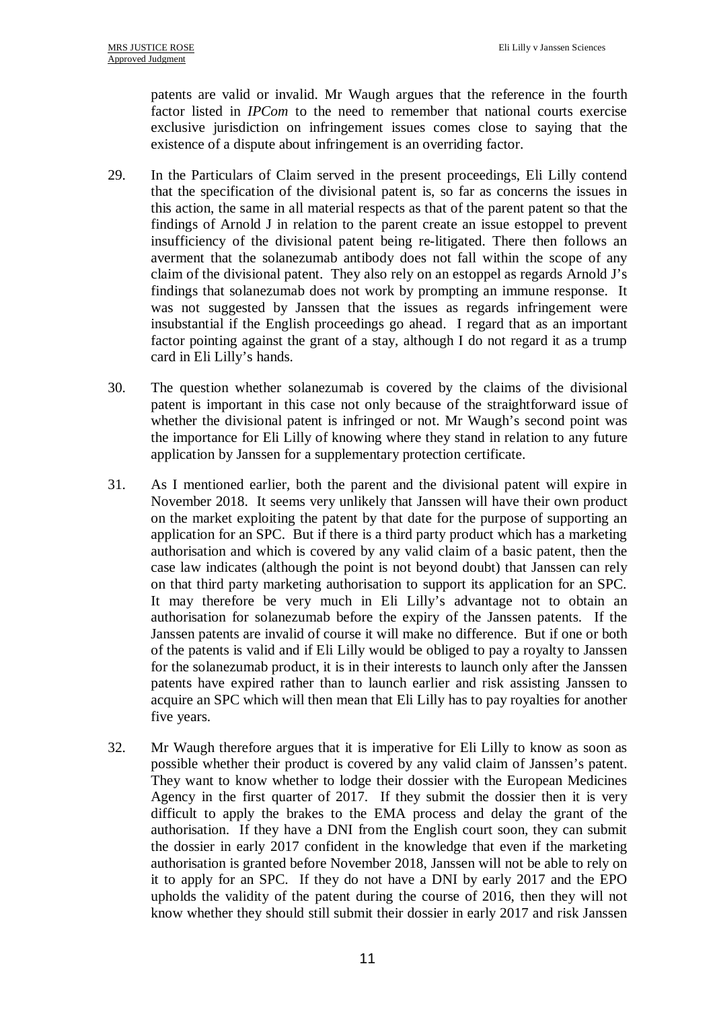patents are valid or invalid. Mr Waugh argues that the reference in the fourth factor listed in *IPCom* to the need to remember that national courts exercise exclusive jurisdiction on infringement issues comes close to saying that the existence of a dispute about infringement is an overriding factor.

- 29. In the Particulars of Claim served in the present proceedings, Eli Lilly contend that the specification of the divisional patent is, so far as concerns the issues in this action, the same in all material respects as that of the parent patent so that the findings of Arnold J in relation to the parent create an issue estoppel to prevent insufficiency of the divisional patent being re-litigated. There then follows an averment that the solanezumab antibody does not fall within the scope of any claim of the divisional patent. They also rely on an estoppel as regards Arnold J's findings that solanezumab does not work by prompting an immune response. It was not suggested by Janssen that the issues as regards infringement were insubstantial if the English proceedings go ahead. I regard that as an important factor pointing against the grant of a stay, although I do not regard it as a trump card in Eli Lilly's hands.
- 30. The question whether solanezumab is covered by the claims of the divisional patent is important in this case not only because of the straightforward issue of whether the divisional patent is infringed or not. Mr Waugh's second point was the importance for Eli Lilly of knowing where they stand in relation to any future application by Janssen for a supplementary protection certificate.
- 31. As I mentioned earlier, both the parent and the divisional patent will expire in November 2018. It seems very unlikely that Janssen will have their own product on the market exploiting the patent by that date for the purpose of supporting an application for an SPC. But if there is a third party product which has a marketing authorisation and which is covered by any valid claim of a basic patent, then the case law indicates (although the point is not beyond doubt) that Janssen can rely on that third party marketing authorisation to support its application for an SPC. It may therefore be very much in Eli Lilly's advantage not to obtain an authorisation for solanezumab before the expiry of the Janssen patents. If the Janssen patents are invalid of course it will make no difference. But if one or both of the patents is valid and if Eli Lilly would be obliged to pay a royalty to Janssen for the solanezumab product, it is in their interests to launch only after the Janssen patents have expired rather than to launch earlier and risk assisting Janssen to acquire an SPC which will then mean that Eli Lilly has to pay royalties for another five years.
- 32. Mr Waugh therefore argues that it is imperative for Eli Lilly to know as soon as possible whether their product is covered by any valid claim of Janssen's patent. They want to know whether to lodge their dossier with the European Medicines Agency in the first quarter of 2017. If they submit the dossier then it is very difficult to apply the brakes to the EMA process and delay the grant of the authorisation. If they have a DNI from the English court soon, they can submit the dossier in early 2017 confident in the knowledge that even if the marketing authorisation is granted before November 2018, Janssen will not be able to rely on it to apply for an SPC. If they do not have a DNI by early 2017 and the EPO upholds the validity of the patent during the course of 2016, then they will not know whether they should still submit their dossier in early 2017 and risk Janssen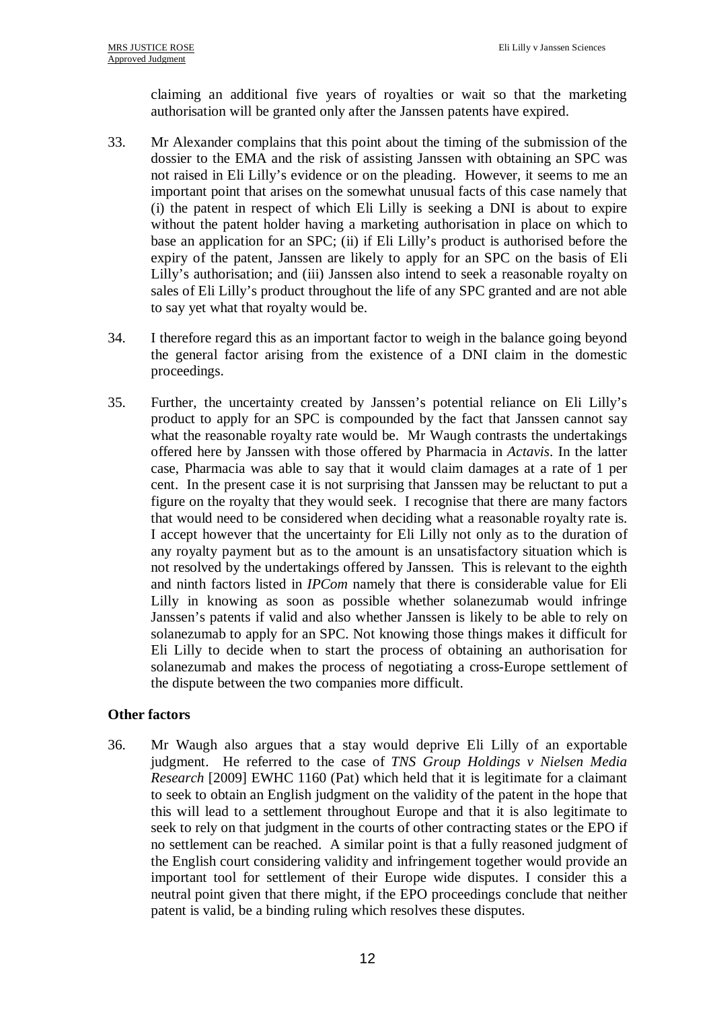claiming an additional five years of royalties or wait so that the marketing authorisation will be granted only after the Janssen patents have expired.

- 33. Mr Alexander complains that this point about the timing of the submission of the dossier to the EMA and the risk of assisting Janssen with obtaining an SPC was not raised in Eli Lilly's evidence or on the pleading. However, it seems to me an important point that arises on the somewhat unusual facts of this case namely that (i) the patent in respect of which Eli Lilly is seeking a DNI is about to expire without the patent holder having a marketing authorisation in place on which to base an application for an SPC; (ii) if Eli Lilly's product is authorised before the expiry of the patent, Janssen are likely to apply for an SPC on the basis of Eli Lilly's authorisation; and (iii) Janssen also intend to seek a reasonable royalty on sales of Eli Lilly's product throughout the life of any SPC granted and are not able to say yet what that royalty would be.
- 34. I therefore regard this as an important factor to weigh in the balance going beyond the general factor arising from the existence of a DNI claim in the domestic proceedings.
- 35. Further, the uncertainty created by Janssen's potential reliance on Eli Lilly's product to apply for an SPC is compounded by the fact that Janssen cannot say what the reasonable royalty rate would be. Mr Waugh contrasts the undertakings offered here by Janssen with those offered by Pharmacia in *Actavis*. In the latter case, Pharmacia was able to say that it would claim damages at a rate of 1 per cent. In the present case it is not surprising that Janssen may be reluctant to put a figure on the royalty that they would seek. I recognise that there are many factors that would need to be considered when deciding what a reasonable royalty rate is. I accept however that the uncertainty for Eli Lilly not only as to the duration of any royalty payment but as to the amount is an unsatisfactory situation which is not resolved by the undertakings offered by Janssen. This is relevant to the eighth and ninth factors listed in *IPCom* namely that there is considerable value for Eli Lilly in knowing as soon as possible whether solanezumab would infringe Janssen's patents if valid and also whether Janssen is likely to be able to rely on solanezumab to apply for an SPC. Not knowing those things makes it difficult for Eli Lilly to decide when to start the process of obtaining an authorisation for solanezumab and makes the process of negotiating a cross-Europe settlement of the dispute between the two companies more difficult.

## **Other factors**

36. Mr Waugh also argues that a stay would deprive Eli Lilly of an exportable judgment. He referred to the case of *TNS Group Holdings v Nielsen Media Research* [2009] EWHC 1160 (Pat) which held that it is legitimate for a claimant to seek to obtain an English judgment on the validity of the patent in the hope that this will lead to a settlement throughout Europe and that it is also legitimate to seek to rely on that judgment in the courts of other contracting states or the EPO if no settlement can be reached. A similar point is that a fully reasoned judgment of the English court considering validity and infringement together would provide an important tool for settlement of their Europe wide disputes. I consider this a neutral point given that there might, if the EPO proceedings conclude that neither patent is valid, be a binding ruling which resolves these disputes.